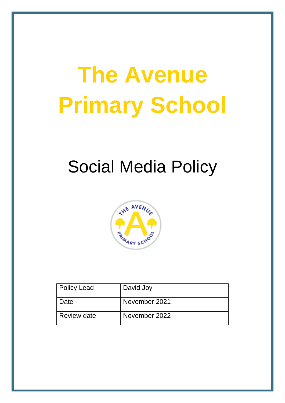# **The Avenue Primary School**

# Social Media Policy



| Policy Lead | David Joy     |
|-------------|---------------|
| Date        | November 2021 |
| Review date | November 2022 |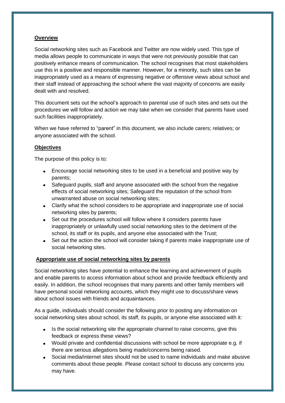#### **Overview**

Social networking sites such as Facebook and Twitter are now widely used. This type of media allows people to communicate in ways that were not previously possible that can positively enhance means of communication. The school recognises that most stakeholders use this in a positive and responsible manner. However, for a minority, such sites can be inappropriately used as a means of expressing negative or offensive views about school and their staff instead of approaching the school where the vast majority of concerns are easily dealt with and resolved.

This document sets out the school's approach to parental use of such sites and sets out the procedures we will follow and action we may take when we consider that parents have used such facilities inappropriately.

When we have referred to "parent" in this document, we also include carers; relatives; or anyone associated with the school.

#### **Objectives**

The purpose of this policy is to:

- Encourage social networking sites to be used in a beneficial and positive way by parents;
- Safeguard pupils, staff and anyone associated with the school from the negative effects of social networking sites; Safeguard the reputation of the school from unwarranted abuse on social networking sites;
- Clarify what the school considers to be appropriate and inappropriate use of social networking sites by parents;
- Set out the procedures school will follow where it considers parents have inappropriately or unlawfully used social networking sites to the detriment of the school, its staff or its pupils, and anyone else associated with the Trust;
- Set out the action the school will consider taking if parents make inappropriate use of social networking sites.

## **Appropriate use of social networking sites by parents**

Social networking sites have potential to enhance the learning and achievement of pupils and enable parents to access information about school and provide feedback efficiently and easily. In addition, the school recognises that many parents and other family members will have personal social networking accounts, which they might use to discuss/share views about school issues with friends and acquaintances.

As a guide, individuals should consider the following prior to posting any information on social networking sites about school, its staff, its pupils, or anyone else associated with it:

- Is the social networking site the appropriate channel to raise concerns, give this feedback or express these views?
- Would private and confidential discussions with school be more appropriate e.g. if there are serious allegations being made/concerns being raised.
- Social media/internet sites should not be used to name individuals and make abusive comments about those people. Please contact school to discuss any concerns you may have.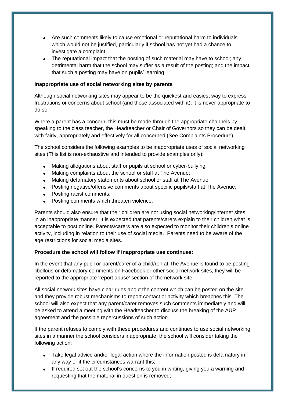- Are such comments likely to cause emotional or reputational harm to individuals which would not be justified, particularly if school has not yet had a chance to investigate a complaint.
- The reputational impact that the posting of such material may have to school; any detrimental harm that the school may suffer as a result of the posting; and the impact that such a posting may have on pupils' learning.

#### **Inappropriate use of social networking sites by parents**

Although social networking sites may appear to be the quickest and easiest way to express frustrations or concerns about school (and those associated with it), it is never appropriate to do so.

Where a parent has a concern, this must be made through the appropriate channels by speaking to the class teacher, the Headteacher or Chair of Governors so they can be dealt with fairly, appropriately and effectively for all concerned (See Complaints Procedure).

The school considers the following examples to be inappropriate uses of social networking sites (This list is non-exhaustive and intended to provide examples only):

- Making allegations about staff or pupils at school or cyber-bullying:
- Making complaints about the school or staff at The Avenue;
- Making defamatory statements about school or staff at The Avenue;
- Posting negative/offensive comments about specific pupils/staff at The Avenue;
- Posting racist comments;
- Posting comments which threaten violence.

Parents should also ensure that their children are not using social networking/internet sites in an inappropriate manner. It is expected that parents/carers explain to their children what is acceptable to post online. Parents/carers are also expected to monitor their children's online activity, including in relation to their use of social media. Parents need to be aware of the age restrictions for social media sites.

## **Procedure the school will follow if inappropriate use continues:**

In the event that any pupil or parent/carer of a child/ren at The Avenue is found to be posting libellous or defamatory comments on Facebook or other social network sites, they will be reported to the appropriate 'report abuse' section of the network site.

All social network sites have clear rules about the content which can be posted on the site and they provide robust mechanisms to report contact or activity which breaches this. The school will also expect that any parent/carer removes such comments immediately and will be asked to attend a meeting with the Headteacher to discuss the breaking of the AUP agreement and the possible repercussions of such action.

If the parent refuses to comply with these procedures and continues to use social networking sites in a manner the school considers inappropriate, the school will consider taking the following action:

- Take legal advice and/or legal action where the information posted is defamatory in any way or if the circumstances warrant this;
- If required set out the school's concerns to you in writing, giving you a warning and requesting that the material in question is removed;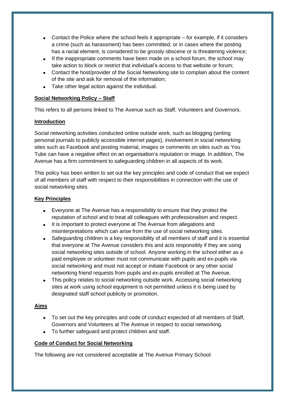- Contact the Police where the school feels it appropriate for example, if it considers a crime (such as harassment) has been committed; or in cases where the posting has a racial element, is considered to be grossly obscene or is threatening violence;
- If the inappropriate comments have been made on a school forum, the school may take action to block or restrict that individual's access to that website or forum;
- Contact the host/provider of the Social Networking site to complain about the content of the site and ask for removal of the information;
- Take other legal action against the individual.

#### **Social Networking Policy – Staff**

This refers to all persons linked to The Avenue such as Staff, Volunteers and Governors.

#### **Introduction**

Social networking activities conducted online outside work, such as blogging (writing personal journals to publicly accessible internet pages), involvement in social networking sites such as Facebook and posting material, images or comments on sites such as You Tube can have a negative effect on an organisation's reputation or image. In addition, The Avenue has a firm commitment to safeguarding children in all aspects of its work.

This policy has been written to set out the key principles and code of conduct that we expect of all members of staff with respect to their responsibilities in connection with the use of social networking sites.

#### **Key Principles**

- Everyone at The Avenue has a responsibility to ensure that they protect the reputation of school and to treat all colleagues with professionalism and respect.
- It is important to protect everyone at The Avenue from allegations and misinterpretations which can arise from the use of social networking sites.
- Safeguarding children is a key responsibility of all members of staff and it is essential that everyone at The Avenue considers this and acts responsibly if they are using social networking sites outside of school. Anyone working in the school either as a paid employee or volunteer must not communicate with pupils and ex-pupils via social networking and must not accept or initiate Facebook or any other social networking friend requests from pupils and ex-pupils enrolled at The Avenue.
- This policy relates to social networking outside work. Accessing social networking sites at work using school equipment is not permitted unless it is being used by designated staff school publicity or promotion.

## **Aims**

- To set out the key principles and code of conduct expected of all members of Staff, Governors and Volunteers at The Avenue in respect to social networking.
- To further safeguard and protect children and staff.

## **Code of Conduct for Social Networking**

The following are not considered acceptable at The Avenue Primary School: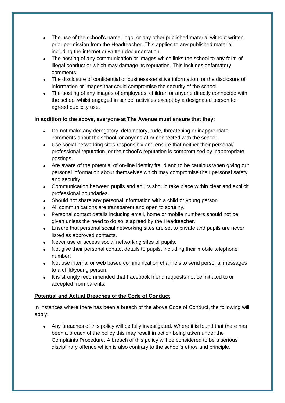- The use of the school's name, logo, or any other published material without written prior permission from the Headteacher. This applies to any published material including the internet or written documentation.
- The posting of any communication or images which links the school to any form of illegal conduct or which may damage its reputation. This includes defamatory comments.
- The disclosure of confidential or business-sensitive information; or the disclosure of information or images that could compromise the security of the school.
- The posting of any images of employees, children or anyone directly connected with the school whilst engaged in school activities except by a designated person for agreed publicity use.

## **In addition to the above, everyone at The Avenue must ensure that they:**

- Do not make any derogatory, defamatory, rude, threatening or inappropriate comments about the school, or anyone at or connected with the school.
- Use social networking sites responsibly and ensure that neither their personal/ professional reputation, or the school's reputation is compromised by inappropriate postings.
- Are aware of the potential of on-line identity fraud and to be cautious when giving out personal information about themselves which may compromise their personal safety and security.
- Communication between pupils and adults should take place within clear and explicit professional boundaries.
- Should not share any personal information with a child or young person.
- All communications are transparent and open to scrutiny.
- Personal contact details including email, home or mobile numbers should not be given unless the need to do so is agreed by the Headteacher.
- Ensure that personal social networking sites are set to private and pupils are never listed as approved contacts.
- Never use or access social networking sites of pupils.
- Not give their personal contact details to pupils, including their mobile telephone number.
- Not use internal or web based communication channels to send personal messages to a child/young person.
- It is strongly recommended that Facebook friend requests not be initiated to or accepted from parents.

## **Potential and Actual Breaches of the Code of Conduct**

In instances where there has been a breach of the above Code of Conduct, the following will apply:

• Any breaches of this policy will be fully investigated. Where it is found that there has been a breach of the policy this may result in action being taken under the Complaints Procedure. A breach of this policy will be considered to be a serious disciplinary offence which is also contrary to the school's ethos and principle.